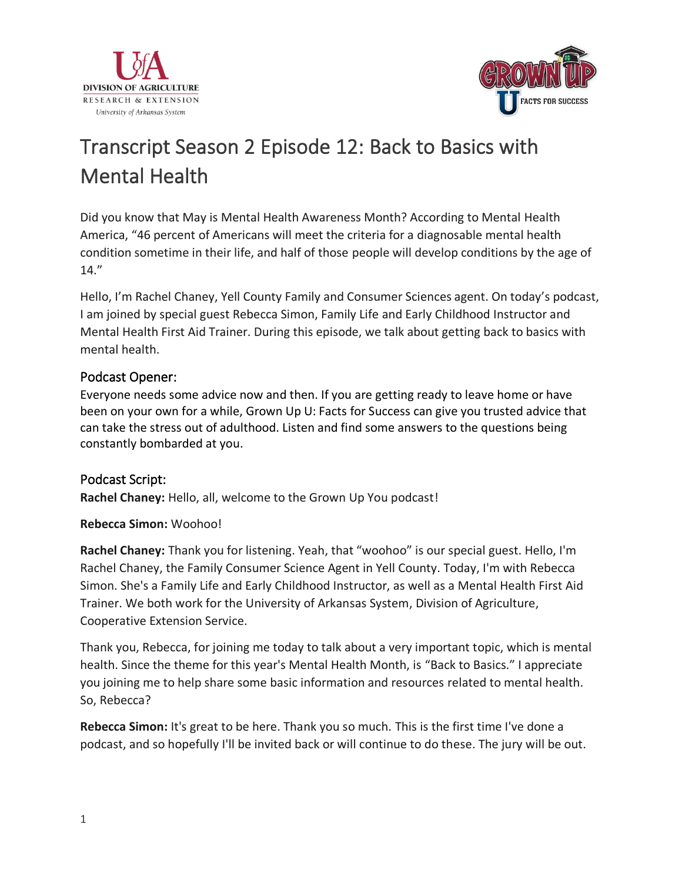



# Transcript Season 2 Episode 12: Back to Basics with Mental Health

Did you know that May is Mental Health Awareness Month? According to Mental Health America, "46 percent of Americans will meet the criteria for a diagnosable mental health condition sometime in their life, and half of those people will develop conditions by the age of 14."

Hello, I'm Rachel Chaney, Yell County Family and Consumer Sciences agent. On today's podcast, I am joined by special guest Rebecca Simon, Family Life and Early Childhood Instructor and Mental Health First Aid Trainer. During this episode, we talk about getting back to basics with mental health.

## Podcast Opener:

Everyone needs some advice now and then. If you are getting ready to leave home or have been on your own for a while, Grown Up U: Facts for Success can give you trusted advice that can take the stress out of adulthood. Listen and find some answers to the questions being constantly bombarded at you.

### Podcast Script:

**Rachel Chaney:** Hello, all, welcome to the Grown Up You podcast!

### **Rebecca Simon:** Woohoo!

**Rachel Chaney:** Thank you for listening. Yeah, that "woohoo" is our special guest. Hello, I'm Rachel Chaney, the Family Consumer Science Agent in Yell County. Today, I'm with Rebecca Simon. She's a Family Life and Early Childhood Instructor, as well as a Mental Health First Aid Trainer. We both work for the University of Arkansas System, Division of Agriculture, Cooperative Extension Service.

Thank you, Rebecca, for joining me today to talk about a very important topic, which is mental health. Since the theme for this year's Mental Health Month, is "Back to Basics." I appreciate you joining me to help share some basic information and resources related to mental health. So, Rebecca?

**Rebecca Simon:** It's great to be here. Thank you so much. This is the first time I've done a podcast, and so hopefully I'll be invited back or will continue to do these. The jury will be out.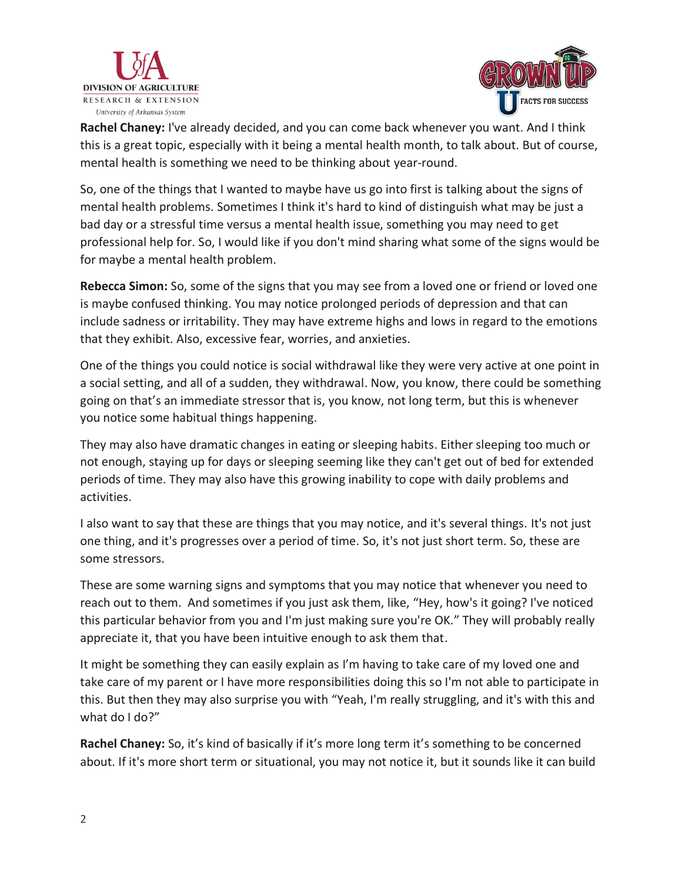



**Rachel Chaney:** I've already decided, and you can come back whenever you want. And I think this is a great topic, especially with it being a mental health month, to talk about. But of course, mental health is something we need to be thinking about year-round.

So, one of the things that I wanted to maybe have us go into first is talking about the signs of mental health problems. Sometimes I think it's hard to kind of distinguish what may be just a bad day or a stressful time versus a mental health issue, something you may need to get professional help for. So, I would like if you don't mind sharing what some of the signs would be for maybe a mental health problem.

**Rebecca Simon:** So, some of the signs that you may see from a loved one or friend or loved one is maybe confused thinking. You may notice prolonged periods of depression and that can include sadness or irritability. They may have extreme highs and lows in regard to the emotions that they exhibit. Also, excessive fear, worries, and anxieties.

One of the things you could notice is social withdrawal like they were very active at one point in a social setting, and all of a sudden, they withdrawal. Now, you know, there could be something going on that's an immediate stressor that is, you know, not long term, but this is whenever you notice some habitual things happening.

They may also have dramatic changes in eating or sleeping habits. Either sleeping too much or not enough, staying up for days or sleeping seeming like they can't get out of bed for extended periods of time. They may also have this growing inability to cope with daily problems and activities.

I also want to say that these are things that you may notice, and it's several things. It's not just one thing, and it's progresses over a period of time. So, it's not just short term. So, these are some stressors.

These are some warning signs and symptoms that you may notice that whenever you need to reach out to them. And sometimes if you just ask them, like, "Hey, how's it going? I've noticed this particular behavior from you and I'm just making sure you're OK." They will probably really appreciate it, that you have been intuitive enough to ask them that.

It might be something they can easily explain as I'm having to take care of my loved one and take care of my parent or I have more responsibilities doing this so I'm not able to participate in this. But then they may also surprise you with "Yeah, I'm really struggling, and it's with this and what do I do?"

**Rachel Chaney:** So, it's kind of basically if it's more long term it's something to be concerned about. If it's more short term or situational, you may not notice it, but it sounds like it can build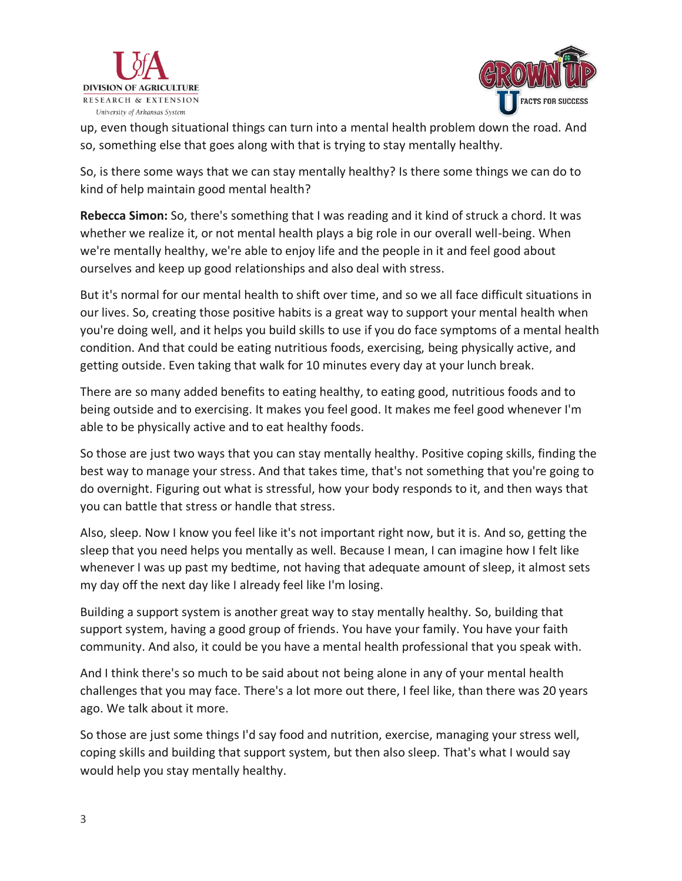



up, even though situational things can turn into a mental health problem down the road. And so, something else that goes along with that is trying to stay mentally healthy.

So, is there some ways that we can stay mentally healthy? Is there some things we can do to kind of help maintain good mental health?

**Rebecca Simon:** So, there's something that I was reading and it kind of struck a chord. It was whether we realize it, or not mental health plays a big role in our overall well-being. When we're mentally healthy, we're able to enjoy life and the people in it and feel good about ourselves and keep up good relationships and also deal with stress.

But it's normal for our mental health to shift over time, and so we all face difficult situations in our lives. So, creating those positive habits is a great way to support your mental health when you're doing well, and it helps you build skills to use if you do face symptoms of a mental health condition. And that could be eating nutritious foods, exercising, being physically active, and getting outside. Even taking that walk for 10 minutes every day at your lunch break.

There are so many added benefits to eating healthy, to eating good, nutritious foods and to being outside and to exercising. It makes you feel good. It makes me feel good whenever I'm able to be physically active and to eat healthy foods.

So those are just two ways that you can stay mentally healthy. Positive coping skills, finding the best way to manage your stress. And that takes time, that's not something that you're going to do overnight. Figuring out what is stressful, how your body responds to it, and then ways that you can battle that stress or handle that stress.

Also, sleep. Now I know you feel like it's not important right now, but it is. And so, getting the sleep that you need helps you mentally as well. Because I mean, I can imagine how I felt like whenever I was up past my bedtime, not having that adequate amount of sleep, it almost sets my day off the next day like I already feel like I'm losing.

Building a support system is another great way to stay mentally healthy. So, building that support system, having a good group of friends. You have your family. You have your faith community. And also, it could be you have a mental health professional that you speak with.

And I think there's so much to be said about not being alone in any of your mental health challenges that you may face. There's a lot more out there, I feel like, than there was 20 years ago. We talk about it more.

So those are just some things I'd say food and nutrition, exercise, managing your stress well, coping skills and building that support system, but then also sleep. That's what I would say would help you stay mentally healthy.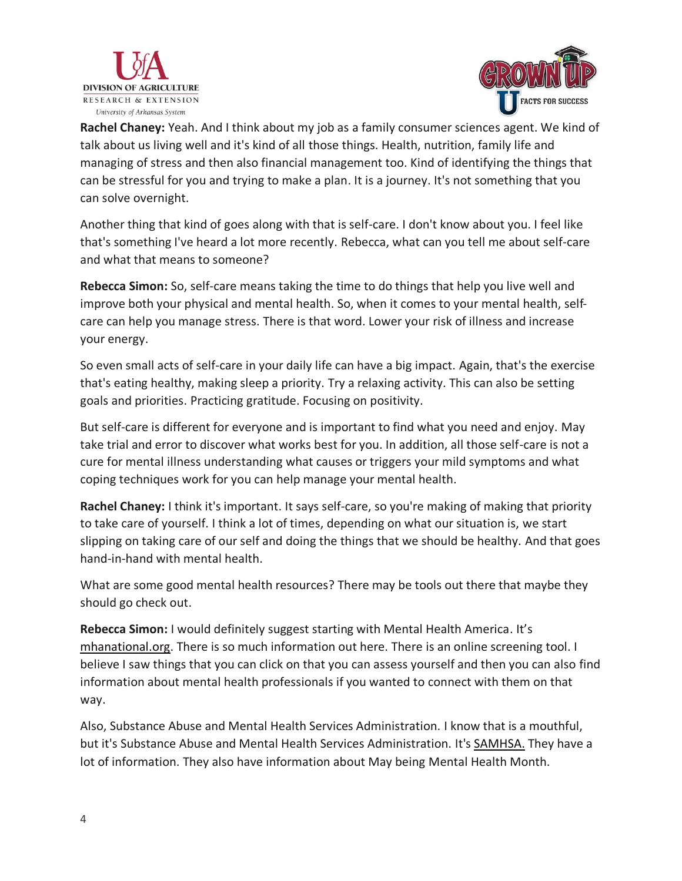



**Rachel Chaney:** Yeah. And I think about my job as a family consumer sciences agent. We kind of talk about us living well and it's kind of all those things. Health, nutrition, family life and managing of stress and then also financial management too. Kind of identifying the things that can be stressful for you and trying to make a plan. It is a journey. It's not something that you can solve overnight.

Another thing that kind of goes along with that is self-care. I don't know about you. I feel like that's something I've heard a lot more recently. Rebecca, what can you tell me about self-care and what that means to someone?

**Rebecca Simon:** So, self-care means taking the time to do things that help you live well and improve both your physical and mental health. So, when it comes to your mental health, selfcare can help you manage stress. There is that word. Lower your risk of illness and increase your energy.

So even small acts of self-care in your daily life can have a big impact. Again, that's the exercise that's eating healthy, making sleep a priority. Try a relaxing activity. This can also be setting goals and priorities. Practicing gratitude. Focusing on positivity.

But self-care is different for everyone and is important to find what you need and enjoy. May take trial and error to discover what works best for you. In addition, all those self-care is not a cure for mental illness understanding what causes or triggers your mild symptoms and what coping techniques work for you can help manage your mental health.

**Rachel Chaney:** I think it's important. It says self-care, so you're making of making that priority to take care of yourself. I think a lot of times, depending on what our situation is, we start slipping on taking care of our self and doing the things that we should be healthy. And that goes hand-in-hand with mental health.

What are some good mental health resources? There may be tools out there that maybe they should go check out.

**Rebecca Simon:** I would definitely suggest starting with Mental Health America. It's [mhanational.org.](https://www.mhanational.org/) There is so much information out here. There is an online screening tool. I believe I saw things that you can click on that you can assess yourself and then you can also find information about mental health professionals if you wanted to connect with them on that way.

Also, Substance Abuse and Mental Health Services Administration. I know that is a mouthful, but it's Substance Abuse and Mental Health Services Administration. It's **SAMHSA.** They have a lot of information. They also have information about May being Mental Health Month.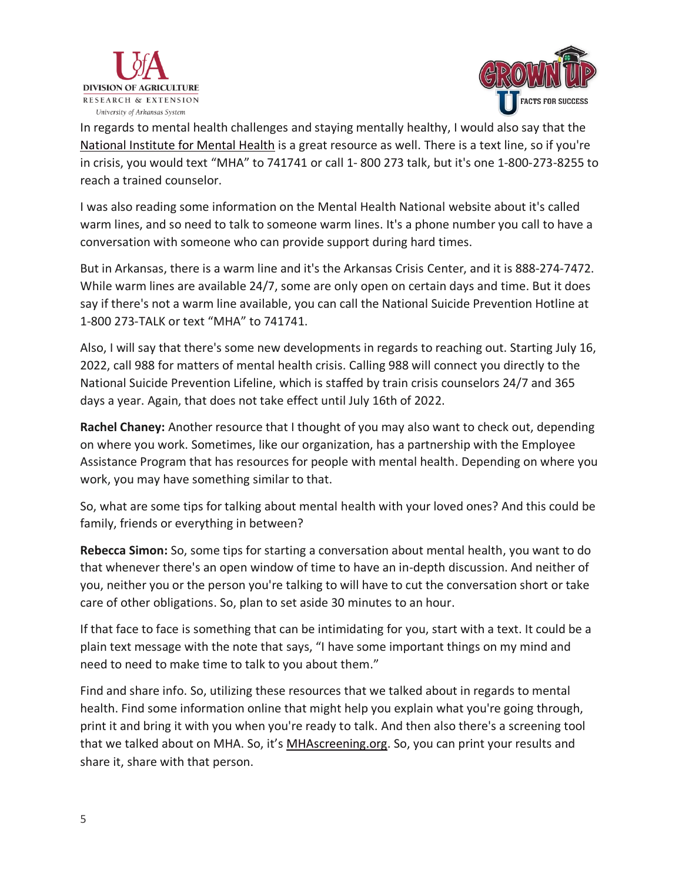



In regards to mental health challenges and staying mentally healthy, I would also say that the [National Institute for Mental Health](https://www.nimh.nih.gov/) is a great resource as well. There is a text line, so if you're in crisis, you would text "MHA" to 741741 or call 1- 800 273 talk, but it's one 1-800-273-8255 to reach a trained counselor.

I was also reading some information on the Mental Health National website about it's called warm lines, and so need to talk to someone warm lines. It's a phone number you call to have a conversation with someone who can provide support during hard times.

But in Arkansas, there is a warm line and it's the Arkansas Crisis Center, and it is 888-274-7472. While warm lines are available 24/7, some are only open on certain days and time. But it does say if there's not a warm line available, you can call the National Suicide Prevention Hotline at 1-800 273-TALK or text "MHA" to 741741.

Also, I will say that there's some new developments in regards to reaching out. Starting July 16, 2022, call 988 for matters of mental health crisis. Calling 988 will connect you directly to the National Suicide Prevention Lifeline, which is staffed by train crisis counselors 24/7 and 365 days a year. Again, that does not take effect until July 16th of 2022.

**Rachel Chaney:** Another resource that I thought of you may also want to check out, depending on where you work. Sometimes, like our organization, has a partnership with the Employee Assistance Program that has resources for people with mental health. Depending on where you work, you may have something similar to that.

So, what are some tips for talking about mental health with your loved ones? And this could be family, friends or everything in between?

**Rebecca Simon:** So, some tips for starting a conversation about mental health, you want to do that whenever there's an open window of time to have an in-depth discussion. And neither of you, neither you or the person you're talking to will have to cut the conversation short or take care of other obligations. So, plan to set aside 30 minutes to an hour.

If that face to face is something that can be intimidating for you, start with a text. It could be a plain text message with the note that says, "I have some important things on my mind and need to need to make time to talk to you about them."

Find and share info. So, utilizing these resources that we talked about in regards to mental health. Find some information online that might help you explain what you're going through, print it and bring it with you when you're ready to talk. And then also there's a screening tool that we talked about on MHA. So, it's [MHAscreening.org.](https://screening.mhanational.org/screening-tools/) So, you can print your results and share it, share with that person.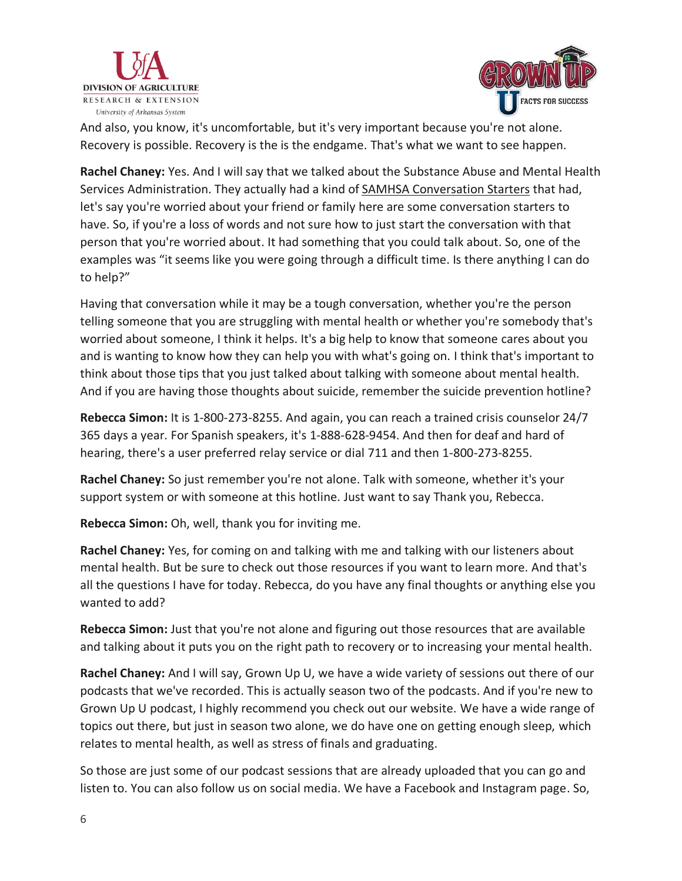



And also, you know, it's uncomfortable, but it's very important because you're not alone. Recovery is possible. Recovery is the is the endgame. That's what we want to see happen.

**Rachel Chaney:** Yes. And I will say that we talked about the Substance Abuse and Mental Health Services Administration. They actually had a kind of **SAMHSA Conversation Starters** that had, let's say you're worried about your friend or family here are some conversation starters to have. So, if you're a loss of words and not sure how to just start the conversation with that person that you're worried about. It had something that you could talk about. So, one of the examples was "it seems like you were going through a difficult time. Is there anything I can do to help?"

Having that conversation while it may be a tough conversation, whether you're the person telling someone that you are struggling with mental health or whether you're somebody that's worried about someone, I think it helps. It's a big help to know that someone cares about you and is wanting to know how they can help you with what's going on. I think that's important to think about those tips that you just talked about talking with someone about mental health. And if you are having those thoughts about suicide, remember the suicide prevention hotline?

**Rebecca Simon:** It is 1-800-273-8255. And again, you can reach a trained crisis counselor 24/7 365 days a year. For Spanish speakers, it's 1-888-628-9454. And then for deaf and hard of hearing, there's a user preferred relay service or dial 711 and then 1-800-273-8255.

**Rachel Chaney:** So just remember you're not alone. Talk with someone, whether it's your support system or with someone at this hotline. Just want to say Thank you, Rebecca.

**Rebecca Simon:** Oh, well, thank you for inviting me.

**Rachel Chaney:** Yes, for coming on and talking with me and talking with our listeners about mental health. But be sure to check out those resources if you want to learn more. And that's all the questions I have for today. Rebecca, do you have any final thoughts or anything else you wanted to add?

**Rebecca Simon:** Just that you're not alone and figuring out those resources that are available and talking about it puts you on the right path to recovery or to increasing your mental health.

**Rachel Chaney:** And I will say, Grown Up U, we have a wide variety of sessions out there of our podcasts that we've recorded. This is actually season two of the podcasts. And if you're new to Grown Up U podcast, I highly recommend you check out our website. We have a wide range of topics out there, but just in season two alone, we do have one on getting enough sleep, which relates to mental health, as well as stress of finals and graduating.

So those are just some of our podcast sessions that are already uploaded that you can go and listen to. You can also follow us on social media. We have a Facebook and Instagram page. So,